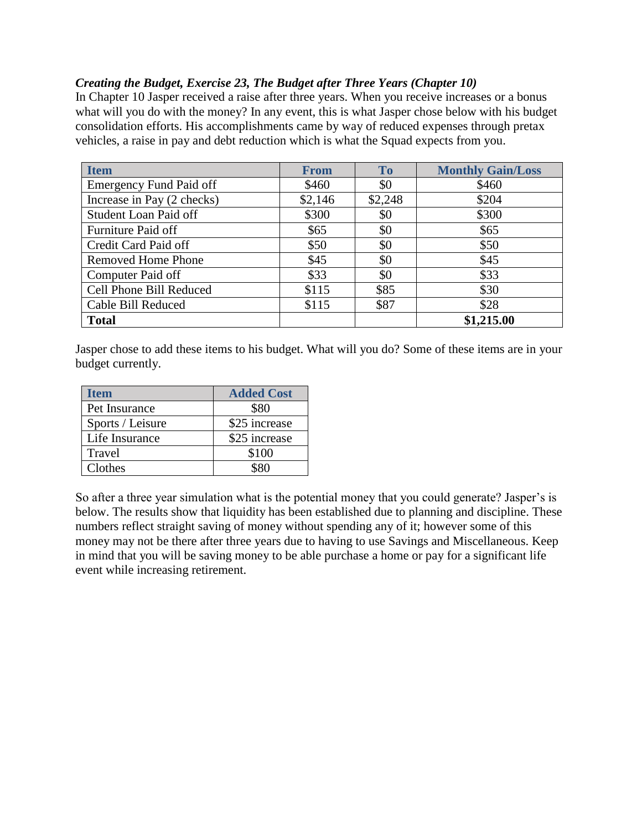## *Creating the Budget, Exercise 23, The Budget after Three Years (Chapter 10)*

In Chapter 10 Jasper received a raise after three years. When you receive increases or a bonus what will you do with the money? In any event, this is what Jasper chose below with his budget consolidation efforts. His accomplishments came by way of reduced expenses through pretax vehicles, a raise in pay and debt reduction which is what the Squad expects from you.

| <b>Item</b>                    | <b>From</b> | <b>To</b> | <b>Monthly Gain/Loss</b> |
|--------------------------------|-------------|-----------|--------------------------|
| <b>Emergency Fund Paid off</b> | \$460       | \$0       | \$460                    |
| Increase in Pay (2 checks)     | \$2,146     | \$2,248   | \$204                    |
| Student Loan Paid off          | \$300       | \$0       | \$300                    |
| Furniture Paid off             | \$65        | \$0       | \$65                     |
| Credit Card Paid off           | \$50        | \$0       | \$50                     |
| <b>Removed Home Phone</b>      | \$45        | \$0       | \$45                     |
| Computer Paid off              | \$33        | \$0       | \$33                     |
| Cell Phone Bill Reduced        | \$115       | \$85      | \$30                     |
| Cable Bill Reduced             | \$115       | \$87      | \$28                     |
| <b>Total</b>                   |             |           | \$1,215.00               |

Jasper chose to add these items to his budget. What will you do? Some of these items are in your budget currently.

| Item             | <b>Added Cost</b> |
|------------------|-------------------|
| Pet Insurance    | \$80              |
| Sports / Leisure | \$25 increase     |
| Life Insurance   | \$25 increase     |
| Travel           | \$100             |
| Clothes          | \$80              |

So after a three year simulation what is the potential money that you could generate? Jasper's is below. The results show that liquidity has been established due to planning and discipline. These numbers reflect straight saving of money without spending any of it; however some of this money may not be there after three years due to having to use Savings and Miscellaneous. Keep in mind that you will be saving money to be able purchase a home or pay for a significant life event while increasing retirement.